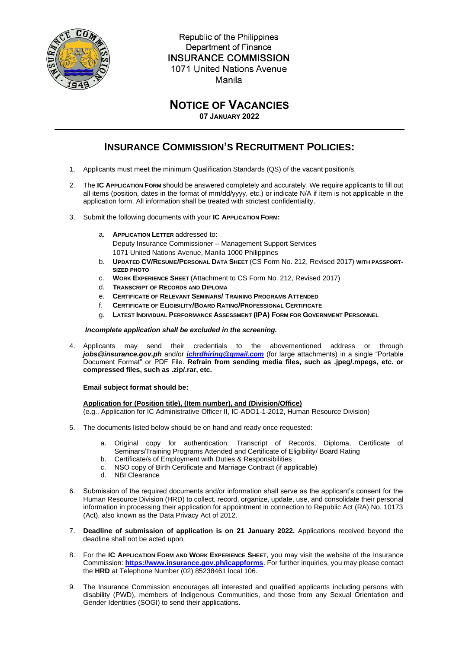

Republic of the Philippines Department of Finance **INSURANCE COMMISSION** 1071 United Nations Avenue Manila

## **NOTICE OF VACANCIES**

**07 JANUARY 2022**

## **INSURANCE COMMISSION'S RECRUITMENT POLICIES:**

- 1. Applicants must meet the minimum Qualification Standards (QS) of the vacant position/s.
- 2. The **IC APPLICATION FORM** should be answered completely and accurately. We require applicants to fill out all items (position, dates in the format of mm/dd/yyyy, etc.) or indicate N/A if item is not applicable in the application form. All information shall be treated with strictest confidentiality.
- 3. Submit the following documents with your **IC APPLICATION FORM:** 
	- a. **APPLICATION LETTER** addressed to: Deputy Insurance Commissioner – Management Support Services 1071 United Nations Avenue, Manila 1000 Philippines
	- b. **UPDATED CV/RESUME/PERSONAL DATA SHEET** (CS Form No. 212, Revised 2017) **WITH PASSPORT-SIZED PHOTO**
	- c. **WORK EXPERIENCE SHEET** (Attachment to CS Form No. 212, Revised 2017)
	- d. **TRANSCRIPT OF RECORDS AND DIPLOMA**
	- e. **CERTIFICATE OF RELEVANT SEMINARS/ TRAINING PROGRAMS ATTENDED**
	- f. **CERTIFICATE OF ELIGIBILITY/BOARD RATING/PROFESSIONAL CERTIFICATE**
	- g. **LATEST INDIVIDUAL PERFORMANCE ASSESSMENT (IPA) FORM FOR GOVERNMENT PERSONNEL**

## *Incomplete application shall be excluded in the screening.*

4. Applicants may send their credentials to the abovementioned address or through *[jobs@insurance.gov.ph](mailto:jobs@insurance.gov.ph)* and/or *[ichrdhiring@gmail.com](mailto:ichrdhiring@gmail.com)* (for large attachments) in a single "Portable Document Format" or PDF File. **Refrain from sending media files, such as .jpeg/.mpegs, etc. or compressed files, such as .zip/.rar, etc.**

## **Email subject format should be:**

**Application for (Position title), (Item number), and (Division/Office)**

(e.g., Application for IC Administrative Officer II, IC-ADO1-1-2012, Human Resource Division)

- 5. The documents listed below should be on hand and ready once requested:
	- a. Original copy for authentication: Transcript of Records, Diploma, Certificate of Seminars/Training Programs Attended and Certificate of Eligibility/ Board Rating
	- b. Certificate/s of Employment with Duties & Responsibilities
	- c. NSO copy of Birth Certificate and Marriage Contract (if applicable)
	- d. NBI Clearance
- 6. Submission of the required documents and/or information shall serve as the applicant's consent for the Human Resource Division (HRD) to collect, record, organize, update, use, and consolidate their personal information in processing their application for appointment in connection to Republic Act (RA) No. 10173 (Act), also known as the Data Privacy Act of 2012.
- 7. **Deadline of submission of application is on 21 January 2022.** Applications received beyond the deadline shall not be acted upon.
- 8. For the **IC APPLICATION FORM AND WORK EXPERIENCE SHEET**, you may visit the website of the Insurance Commission: **<https://www.insurance.gov.ph/icappforms>**. For further inquiries, you may please contact the **HRD** at Telephone Number (02) 85238461 local 106.
- 9. The Insurance Commission encourages all interested and qualified applicants including persons with disability (PWD), members of Indigenous Communities, and those from any Sexual Orientation and Gender Identities (SOGI) to send their applications.